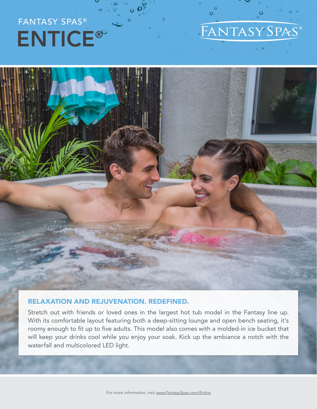# FANTASY SPAS® ENTICE®

## FANTASY SPAS®

 $\Omega$ 



#### RELAXATION AND REJUVENATION. REDEFINED.

Stretch out with friends or loved ones in the largest hot tub model in the Fantasy line up. With its comfortable layout featuring both a deep-sitting lounge and open bench seating, it's roomy enough to fit up to five adults. This model also comes with a molded-in ice bucket that will keep your drinks cool while you enjoy your soak. Kick up the ambiance a notch with the waterfall and multicolored LED light.